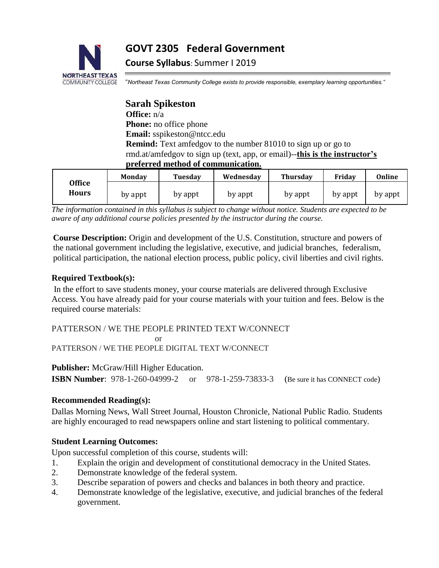**GOVT 2305 Federal Government** 



**Course Syllabus**: Summer I 2019

"*Northeast Texas Community College exists to provide responsible, exemplary learning opportunities."*

**Sarah Spikeston Office:** n/a **Phone:** no office phone **Email:** sspikeston@ntcc.edu **Remind:** Text amfedgov to the number 81010 to sign up or go to rmd.at/amfedgov to sign up (text, app, or email)--**this is the instructor's preferred method of communication.**

|                        | Mondav  | Tuesdav | Wednesdav | <b>Thursdav</b> | Friday  | Online  |
|------------------------|---------|---------|-----------|-----------------|---------|---------|
| <b>Office</b><br>Hours | by appt | by appt | by appt   | by appt         | by appt | by appt |

*The information contained in this syllabus is subject to change without notice. Students are expected to be aware of any additional course policies presented by the instructor during the course.*

**Course Description:** Origin and development of the U.S. Constitution, structure and powers of the national government including the legislative, executive, and judicial branches, federalism, political participation, the national election process, public policy, civil liberties and civil rights.

## **Required Textbook(s):**

In the effort to save students money, your course materials are delivered through Exclusive Access. You have already paid for your course materials with your tuition and fees. Below is the required course materials:

PATTERSON / WE THE PEOPLE PRINTED TEXT W/CONNECT

or

PATTERSON / WE THE PEOPLE DIGITAL TEXT W/CONNECT

**Publisher:** McGraw/Hill Higher Education.

**ISBN Number:** 978-1-260-04999-2 or 978-1-259-73833-3 (Be sure it has CONNECT code)

# **Recommended Reading(s):**

Dallas Morning News, Wall Street Journal, Houston Chronicle, National Public Radio. Students are highly encouraged to read newspapers online and start listening to political commentary.

# **Student Learning Outcomes:**

Upon successful completion of this course, students will:

- 1. Explain the origin and development of constitutional democracy in the United States.
- 2. Demonstrate knowledge of the federal system.
- 3. Describe separation of powers and checks and balances in both theory and practice.
- 4. Demonstrate knowledge of the legislative, executive, and judicial branches of the federal government.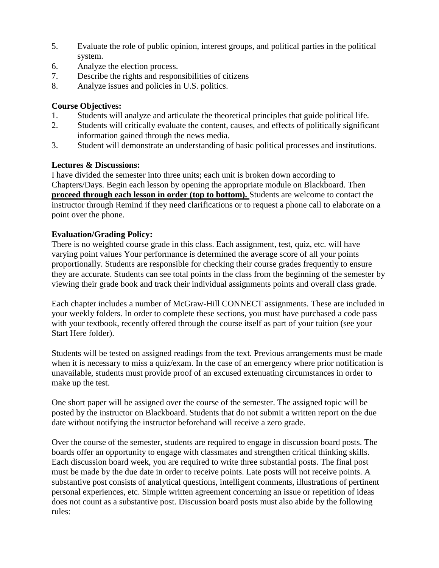- 5. Evaluate the role of public opinion, interest groups, and political parties in the political system.
- 6. Analyze the election process.
- 7. Describe the rights and responsibilities of citizens
- 8. Analyze issues and policies in U.S. politics.

## **Course Objectives:**

- 1. Students will analyze and articulate the theoretical principles that guide political life.
- 2. Students will critically evaluate the content, causes, and effects of politically significant information gained through the news media.
- 3. Student will demonstrate an understanding of basic political processes and institutions.

## **Lectures & Discussions:**

I have divided the semester into three units; each unit is broken down according to Chapters/Days. Begin each lesson by opening the appropriate module on Blackboard. Then **proceed through each lesson in order (top to bottom).** Students are welcome to contact the instructor through Remind if they need clarifications or to request a phone call to elaborate on a point over the phone.

## **Evaluation/Grading Policy:**

There is no weighted course grade in this class. Each assignment, test, quiz, etc. will have varying point values Your performance is determined the average score of all your points proportionally. Students are responsible for checking their course grades frequently to ensure they are accurate. Students can see total points in the class from the beginning of the semester by viewing their grade book and track their individual assignments points and overall class grade.

Each chapter includes a number of McGraw-Hill CONNECT assignments. These are included in your weekly folders. In order to complete these sections, you must have purchased a code pass with your textbook, recently offered through the course itself as part of your tuition (see your Start Here folder).

Students will be tested on assigned readings from the text. Previous arrangements must be made when it is necessary to miss a quiz/exam. In the case of an emergency where prior notification is unavailable, students must provide proof of an excused extenuating circumstances in order to make up the test.

One short paper will be assigned over the course of the semester. The assigned topic will be posted by the instructor on Blackboard. Students that do not submit a written report on the due date without notifying the instructor beforehand will receive a zero grade.

Over the course of the semester, students are required to engage in discussion board posts. The boards offer an opportunity to engage with classmates and strengthen critical thinking skills. Each discussion board week, you are required to write three substantial posts. The final post must be made by the due date in order to receive points. Late posts will not receive points. A substantive post consists of analytical questions, intelligent comments, illustrations of pertinent personal experiences, etc. Simple written agreement concerning an issue or repetition of ideas does not count as a substantive post. Discussion board posts must also abide by the following rules: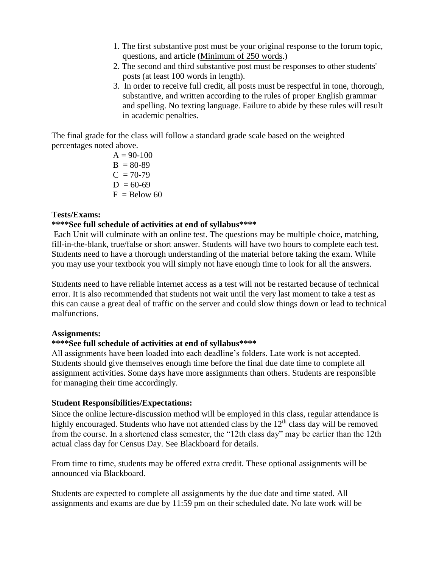- 1. The first substantive post must be your original response to the forum topic, questions, and article (Minimum of 250 words.)
- 2. The second and third substantive post must be responses to other students' posts (at least 100 words in length).
- 3. In order to receive full credit, all posts must be respectful in tone, thorough, substantive, and written according to the rules of proper English grammar and spelling. No texting language. Failure to abide by these rules will result in academic penalties.

The final grade for the class will follow a standard grade scale based on the weighted percentages noted above.

> $A = 90-100$  $B = 80-89$  $C = 70-79$  $D = 60-69$  $F =$  Below 60

## **Tests/Exams:**

### **\*\*\*\*See full schedule of activities at end of syllabus\*\*\*\***

Each Unit will culminate with an online test. The questions may be multiple choice, matching, fill-in-the-blank, true/false or short answer. Students will have two hours to complete each test. Students need to have a thorough understanding of the material before taking the exam. While you may use your textbook you will simply not have enough time to look for all the answers.

Students need to have reliable internet access as a test will not be restarted because of technical error. It is also recommended that students not wait until the very last moment to take a test as this can cause a great deal of traffic on the server and could slow things down or lead to technical malfunctions.

### **Assignments:**

#### **\*\*\*\*See full schedule of activities at end of syllabus\*\*\*\***

All assignments have been loaded into each deadline's folders. Late work is not accepted. Students should give themselves enough time before the final due date time to complete all assignment activities. Some days have more assignments than others. Students are responsible for managing their time accordingly.

#### **Student Responsibilities/Expectations:**

Since the online lecture-discussion method will be employed in this class, regular attendance is highly encouraged. Students who have not attended class by the  $12<sup>th</sup>$  class day will be removed from the course. In a shortened class semester, the "12th class day" may be earlier than the 12th actual class day for Census Day. See Blackboard for details.

From time to time, students may be offered extra credit. These optional assignments will be announced via Blackboard.

Students are expected to complete all assignments by the due date and time stated. All assignments and exams are due by 11:59 pm on their scheduled date. No late work will be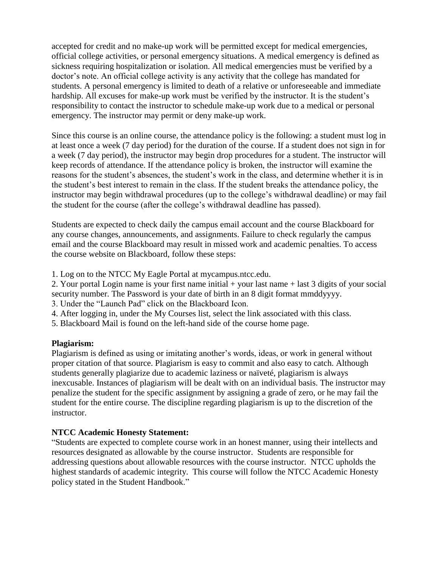accepted for credit and no make-up work will be permitted except for medical emergencies, official college activities, or personal emergency situations. A medical emergency is defined as sickness requiring hospitalization or isolation. All medical emergencies must be verified by a doctor's note. An official college activity is any activity that the college has mandated for students. A personal emergency is limited to death of a relative or unforeseeable and immediate hardship. All excuses for make-up work must be verified by the instructor. It is the student's responsibility to contact the instructor to schedule make-up work due to a medical or personal emergency. The instructor may permit or deny make-up work.

Since this course is an online course, the attendance policy is the following: a student must log in at least once a week (7 day period) for the duration of the course. If a student does not sign in for a week (7 day period), the instructor may begin drop procedures for a student. The instructor will keep records of attendance. If the attendance policy is broken, the instructor will examine the reasons for the student's absences, the student's work in the class, and determine whether it is in the student's best interest to remain in the class. If the student breaks the attendance policy, the instructor may begin withdrawal procedures (up to the college's withdrawal deadline) or may fail the student for the course (after the college's withdrawal deadline has passed).

Students are expected to check daily the campus email account and the course Blackboard for any course changes, announcements, and assignments. Failure to check regularly the campus email and the course Blackboard may result in missed work and academic penalties. To access the course website on Blackboard, follow these steps:

1. Log on to the NTCC My Eagle Portal at mycampus.ntcc.edu.

2. Your portal Login name is your first name initial + your last name + last 3 digits of your social security number. The Password is your date of birth in an 8 digit format mmddyyyy.

3. Under the "Launch Pad" click on the Blackboard Icon.

4. After logging in, under the My Courses list, select the link associated with this class.

5. Blackboard Mail is found on the left-hand side of the course home page.

#### **Plagiarism:**

Plagiarism is defined as using or imitating another's words, ideas, or work in general without proper citation of that source. Plagiarism is easy to commit and also easy to catch. Although students generally plagiarize due to academic laziness or naïveté, plagiarism is always inexcusable. Instances of plagiarism will be dealt with on an individual basis. The instructor may penalize the student for the specific assignment by assigning a grade of zero, or he may fail the student for the entire course. The discipline regarding plagiarism is up to the discretion of the instructor.

## **NTCC Academic Honesty Statement:**

"Students are expected to complete course work in an honest manner, using their intellects and resources designated as allowable by the course instructor. Students are responsible for addressing questions about allowable resources with the course instructor. NTCC upholds the highest standards of academic integrity. This course will follow the NTCC Academic Honesty policy stated in the Student Handbook."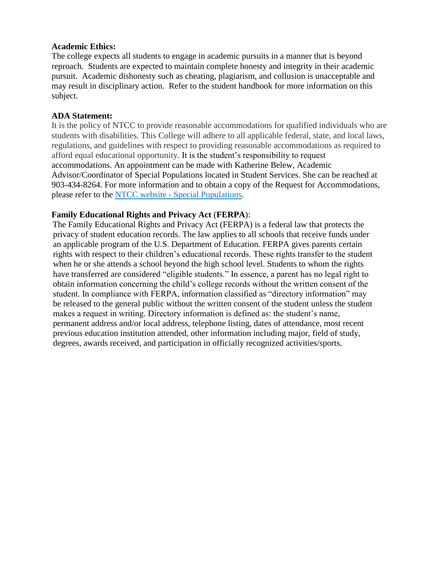#### **Academic Ethics:**

The college expects all students to engage in academic pursuits in a manner that is beyond reproach. Students are expected to maintain complete honesty and integrity in their academic pursuit. Academic dishonesty such as cheating, plagiarism, and collusion is unacceptable and may result in disciplinary action. Refer to the student handbook for more information on this subject.

#### **ADA Statement:**

It is the policy of NTCC to provide reasonable accommodations for qualified individuals who are students with disabilities. This College will adhere to all applicable federal, state, and local laws, regulations, and guidelines with respect to providing reasonable accommodations as required to afford equal educational opportunity. It is the student's responsibility to request accommodations. An appointment can be made with Katherine Belew, Academic Advisor/Coordinator of Special Populations located in Student Services. She can be reached at 903-434-8264. For more information and to obtain a copy of the Request for Accommodations, please refer to the NTCC website - [Special Populations.](http://www.ntcc.edu/index.php?module=Pagesetter&func=viewpub&tid=111&pid=1)

#### **Family Educational Rights and Privacy Act** (**FERPA**):

The Family Educational Rights and Privacy Act (FERPA) is a federal law that protects the privacy of student education records. The law applies to all schools that receive funds under an applicable program of the U.S. Department of Education. FERPA gives parents certain rights with respect to their children's educational records. These rights transfer to the student when he or she attends a school beyond the high school level. Students to whom the rights have transferred are considered "eligible students." In essence, a parent has no legal right to obtain information concerning the child's college records without the written consent of the student. In compliance with FERPA, information classified as "directory information" may be released to the general public without the written consent of the student unless the student makes a request in writing. Directory information is defined as: the student's name, permanent address and/or local address, telephone listing, dates of attendance, most recent previous education institution attended, other information including major, field of study, degrees, awards received, and participation in officially recognized activities/sports.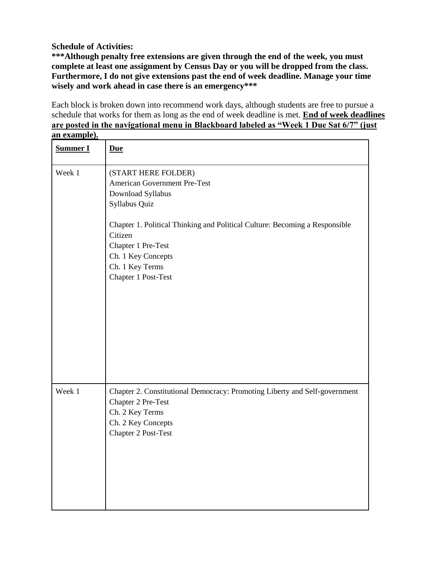## **Schedule of Activities:**

**\*\*\*Although penalty free extensions are given through the end of the week, you must complete at least one assignment by Census Day or you will be dropped from the class. Furthermore, I do not give extensions past the end of week deadline. Manage your time wisely and work ahead in case there is an emergency\*\*\***

Each block is broken down into recommend work days, although students are free to pursue a schedule that works for them as long as the end of week deadline is met. **End of week deadlines are posted in the navigational menu in Blackboard labeled as "Week 1 Due Sat 6/7" (just an example).** 

| <b>Summer I</b> | <b>Due</b>                                                                                                                                                                   |
|-----------------|------------------------------------------------------------------------------------------------------------------------------------------------------------------------------|
| Week 1          | (START HERE FOLDER)<br>American Government Pre-Test<br>Download Syllabus<br>Syllabus Quiz                                                                                    |
|                 | Chapter 1. Political Thinking and Political Culture: Becoming a Responsible<br>Citizen<br>Chapter 1 Pre-Test<br>Ch. 1 Key Concepts<br>Ch. 1 Key Terms<br>Chapter 1 Post-Test |
| Week 1          | Chapter 2. Constitutional Democracy: Promoting Liberty and Self-government<br>Chapter 2 Pre-Test<br>Ch. 2 Key Terms<br>Ch. 2 Key Concepts<br>Chapter 2 Post-Test             |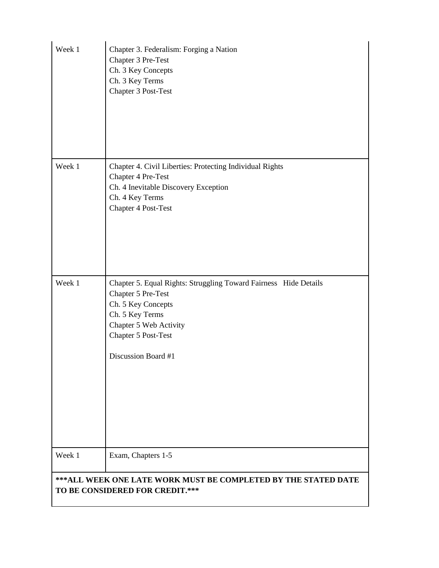| Week 1                                                                                                   | Chapter 3. Federalism: Forging a Nation<br>Chapter 3 Pre-Test<br>Ch. 3 Key Concepts<br>Ch. 3 Key Terms<br>Chapter 3 Post-Test                                                                           |
|----------------------------------------------------------------------------------------------------------|---------------------------------------------------------------------------------------------------------------------------------------------------------------------------------------------------------|
| Week 1                                                                                                   | Chapter 4. Civil Liberties: Protecting Individual Rights<br>Chapter 4 Pre-Test<br>Ch. 4 Inevitable Discovery Exception<br>Ch. 4 Key Terms<br>Chapter 4 Post-Test                                        |
| Week 1                                                                                                   | Chapter 5. Equal Rights: Struggling Toward Fairness Hide Details<br>Chapter 5 Pre-Test<br>Ch. 5 Key Concepts<br>Ch. 5 Key Terms<br>Chapter 5 Web Activity<br>Chapter 5 Post-Test<br>Discussion Board #1 |
| Week 1                                                                                                   | Exam, Chapters 1-5                                                                                                                                                                                      |
| <b>***ALL WEEK ONE LATE WORK MUST BE COMPLETED BY THE STATED DATE</b><br>TO BE CONSIDERED FOR CREDIT.*** |                                                                                                                                                                                                         |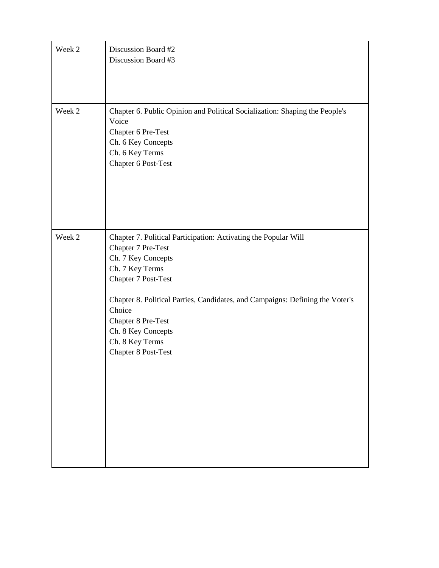| Week 2 | Discussion Board #2<br>Discussion Board #3                                                                                                                                                                                                                                                                                                    |
|--------|-----------------------------------------------------------------------------------------------------------------------------------------------------------------------------------------------------------------------------------------------------------------------------------------------------------------------------------------------|
| Week 2 | Chapter 6. Public Opinion and Political Socialization: Shaping the People's<br>Voice<br>Chapter 6 Pre-Test<br>Ch. 6 Key Concepts<br>Ch. 6 Key Terms<br>Chapter 6 Post-Test                                                                                                                                                                    |
| Week 2 | Chapter 7. Political Participation: Activating the Popular Will<br>Chapter 7 Pre-Test<br>Ch. 7 Key Concepts<br>Ch. 7 Key Terms<br>Chapter 7 Post-Test<br>Chapter 8. Political Parties, Candidates, and Campaigns: Defining the Voter's<br>Choice<br>Chapter 8 Pre-Test<br>Ch. 8 Key Concepts<br>Ch. 8 Key Terms<br><b>Chapter 8 Post-Test</b> |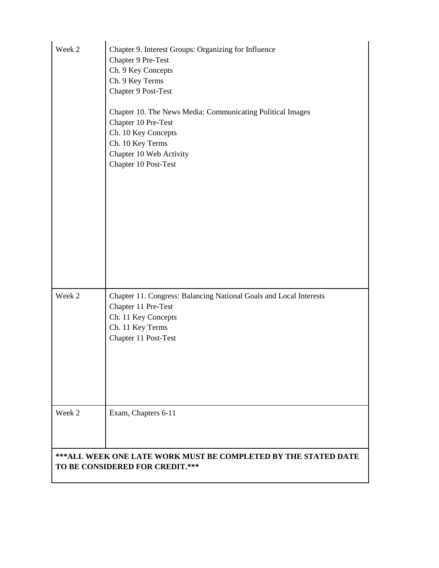| Week 2                                                                                                   | Chapter 9. Interest Groups: Organizing for Influence<br>Chapter 9 Pre-Test<br>Ch. 9 Key Concepts<br>Ch. 9 Key Terms<br>Chapter 9 Post-Test<br>Chapter 10. The News Media: Communicating Political Images<br>Chapter 10 Pre-Test<br>Ch. 10 Key Concepts<br>Ch. 10 Key Terms<br>Chapter 10 Web Activity<br>Chapter 10 Post-Test |  |
|----------------------------------------------------------------------------------------------------------|-------------------------------------------------------------------------------------------------------------------------------------------------------------------------------------------------------------------------------------------------------------------------------------------------------------------------------|--|
| Week 2                                                                                                   | Chapter 11. Congress: Balancing National Goals and Local Interests<br>Chapter 11 Pre-Test<br>Ch. 11 Key Concepts<br>Ch. 11 Key Terms<br>Chapter 11 Post-Test                                                                                                                                                                  |  |
| Week 2                                                                                                   | Exam, Chapters 6-11                                                                                                                                                                                                                                                                                                           |  |
| <b>***ALL WEEK ONE LATE WORK MUST BE COMPLETED BY THE STATED DATE</b><br>TO BE CONSIDERED FOR CREDIT.*** |                                                                                                                                                                                                                                                                                                                               |  |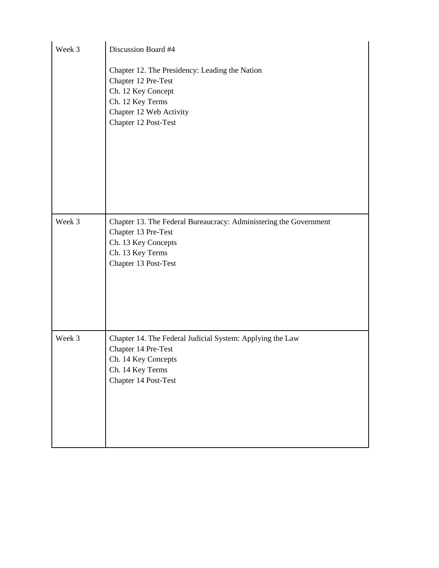| Week 3 | Discussion Board #4                                                                                                                                                |  |  |
|--------|--------------------------------------------------------------------------------------------------------------------------------------------------------------------|--|--|
|        | Chapter 12. The Presidency: Leading the Nation<br>Chapter 12 Pre-Test<br>Ch. 12 Key Concept<br>Ch. 12 Key Terms<br>Chapter 12 Web Activity<br>Chapter 12 Post-Test |  |  |
| Week 3 | Chapter 13. The Federal Bureaucracy: Administering the Government<br>Chapter 13 Pre-Test<br>Ch. 13 Key Concepts<br>Ch. 13 Key Terms<br>Chapter 13 Post-Test        |  |  |
| Week 3 | Chapter 14. The Federal Judicial System: Applying the Law<br>Chapter 14 Pre-Test<br>Ch. 14 Key Concepts<br>Ch. 14 Key Terms<br>Chapter 14 Post-Test                |  |  |